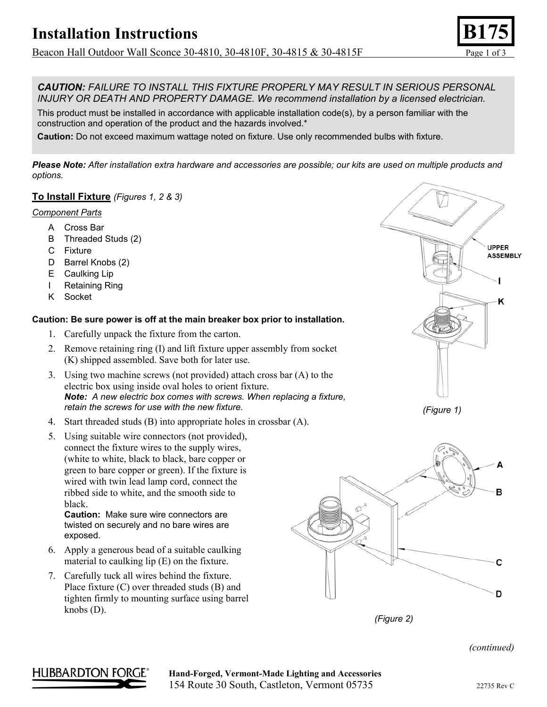Beacon Hall Outdoor Wall Sconce 30-4810, 30-4810F, 30-4815 & 30-4815F Page 1 of 3

*CAUTION: FAILURE TO INSTALL THIS FIXTURE PROPERLY MAY RESULT IN SERIOUS PERSONAL INJURY OR DEATH AND PROPERTY DAMAGE. We recommend installation by a licensed electrician.*

This product must be installed in accordance with applicable installation code(s), by a person familiar with the construction and operation of the product and the hazards involved.\*

**Caution:** Do not exceed maximum wattage noted on fixture. Use only recommended bulbs with fixture.

*Please Note: After installation extra hardware and accessories are possible; our kits are used on multiple products and options.* 

## **To Install Fixture** *(Figures 1, 2 & 3)*

#### *Component Parts*

- A Cross Bar
- B Threaded Studs (2)
- C Fixture
- D Barrel Knobs (2)
- E Caulking Lip
- I Retaining Ring
- K Socket

### **Caution: Be sure power is off at the main breaker box prior to installation.**

- 1. Carefully unpack the fixture from the carton.
- 2. Remove retaining ring (I) and lift fixture upper assembly from socket (K) shipped assembled. Save both for later use.
- 3. Using two machine screws (not provided) attach cross bar (A) to the electric box using inside oval holes to orient fixture. *Note: A new electric box comes with screws. When replacing a fixture, retain the screws for use with the new fixture.*
- 4. Start threaded studs (B) into appropriate holes in crossbar (A).
- 5. Using suitable wire connectors (not provided), connect the fixture wires to the supply wires, (white to white, black to black, bare copper or green to bare copper or green). If the fixture is wired with twin lead lamp cord, connect the ribbed side to white, and the smooth side to black.

**Caution:** Make sure wire connectors are twisted on securely and no bare wires are exposed.

- 6. Apply a generous bead of a suitable caulking material to caulking lip (E) on the fixture.
- 7. Carefully tuck all wires behind the fixture. Place fixture (C) over threaded studs (B) and tighten firmly to mounting surface using barrel knobs (D).







*(Figure 2)* 

#### *(continued)*



HUBBARDTON FORGE<sup>®</sup> Hand-Forged, Vermont-Made Lighting and Accessories 154 Route 30 South, Castleton, Vermont 05735 22735 Rev C

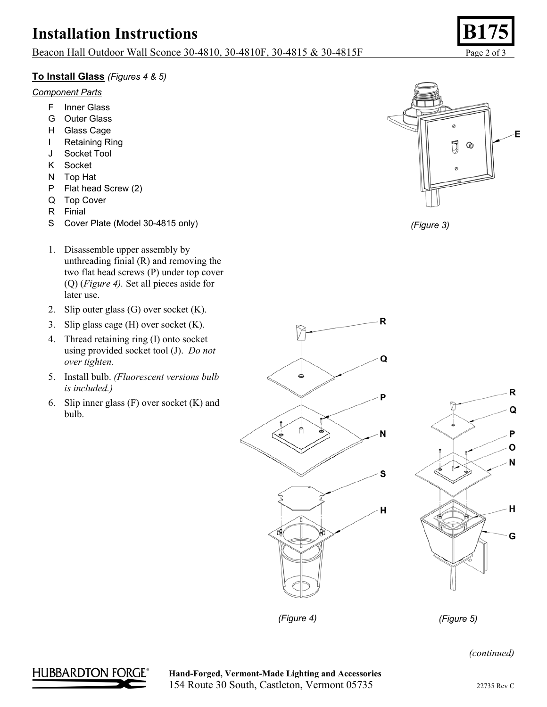# **Installation Instructions**

## Beacon Hall Outdoor Wall Sconce 30-4810, 30-4810F, 30-4815 & 30-4815F Page 2 of 3

## **To Install Glass** *(Figures 4 & 5)*

### *Component Parts*

- F Inner Glass
- G Outer Glass
- H Glass Cage
- I Retaining Ring
- J Socket Tool
- K Socket
- N Top Hat
- P Flat head Screw (2)
- Q Top Cover
- R Finial
- S Cover Plate (Model 30-4815 only)
- 1. Disassemble upper assembly by unthreading finial (R) and removing the two flat head screws (P) under top cover (Q) (*Figure 4).* Set all pieces aside for later use.
- 2. Slip outer glass (G) over socket (K).
- 3. Slip glass cage (H) over socket (K).
- 4. Thread retaining ring (I) onto socket using provided socket tool (J). *Do not over tighten.*
- 5. Install bulb. *(Fluorescent versions bulb is included.)*
- 6. Slip inner glass (F) over socket (K) and bulb.









 $\mathsf{R}$ 

*(Figure 4) (Figure 5)* 

**HUBBARDTON FORGE<sup>®</sup> Hand-Forged, Vermont-Made Lighting and Accessories** 154 Route 30 South, Castleton, Vermont 05735 22735 Rev C

*(continued)*